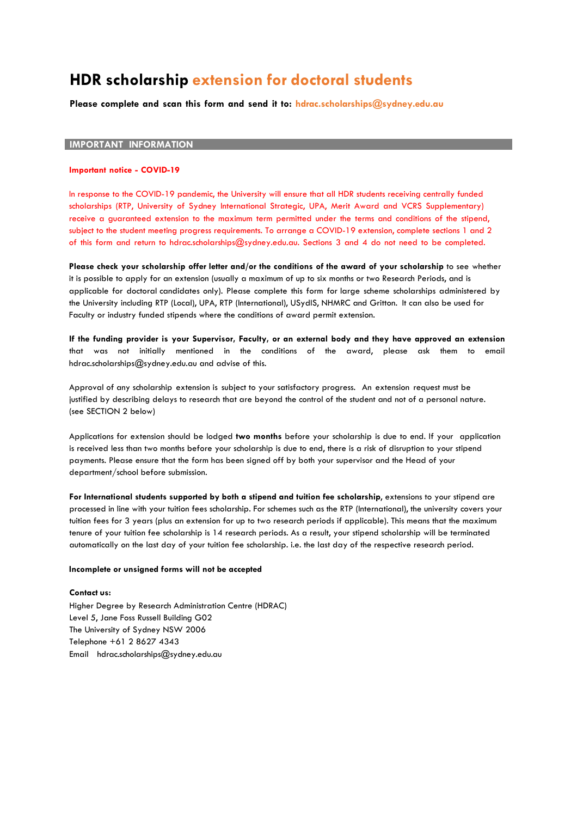# **HDR scholarship extension for doctoral students**

**Please complete and scan this form and send it to: [hdrac.scholarships@sydney.edu.au](mailto:hdrac.scholarships@sydney.edu.au)**

#### **IMPORTANT INFORMATION**

#### **Important notice - COVID-19**

In response to the COVID-19 pandemic, the University will ensure that all HDR students receiving centrally funded scholarships (RTP, University of Sydney International Strategic, UPA, Merit Award and VCRS Supplementary) receive a guaranteed extension to the maximum term permitted under the terms and conditions of the stipend, subject to the student meeting progress requirements. To arrange a COVID-19 extension, complete sections 1 and 2 of this form and return to [hdrac.scholarships@sydney.edu.au.](mailto:hdrac.scholarships@sydney.edu.au) Sections 3 and 4 do not need to be completed.

**Please check your [scholarship](mailto:hdrac.scholarships@sydney.edu.au) offer letter and/or the conditions of the award of your scholarship** to see whether it is possible to apply for an extension (usually a maximum of up to six months or two Research Periods, and is applicable for doctoral candidates only). Please complete this form for large scheme scholarships administered by the University including RTP (Local), UPA, RTP (International), USydIS, NHMRC and Gritton. It can also be used for Faculty or industry funded stipends [where the conditions of award p](mailto:hdrac.scholarships@sydney.edu.au)ermit extension.

**If the funding provider is your Supervisor, Faculty, or an external body and they have approved an extension** that was not initially mentioned in the conditions of the award, please ask them to email [hdrac.scholarships@sydney.edu.au a](mailto:hdrac.scholarships@sydney.edu.au)nd advise of this.

Approval of any scholarship extension is subject to your satisfactory progress. An extension request must be justified by describing delays to research that are beyond the control of the student and not of a personal nature. (see SECTION 2 below)

Applications for extension should be lodged **two months** before your scholarship is due to end. If your application is received less than two months before your scholarship is due to end, there is a risk of disruption to your stipend payments. Please ensure that the form has been signed off by both your supervisor and the Head of your department/school before submission.

For International students supported by both a stipend and tuition fee scholarship, extensions to your stipend are processed in line with your tuition fees scholarship. For schemes such as the RTP (International), the university covers your tuition fees for 3 years (plus an extension for up to two research periods if applicable). This means that the maximum tenure of your tuition fee scholarship is 14 research periods. As a result, your stipend scholarship will be terminated automatically on the last day of your tuition fee scholarship. i.e. the last day of the respective research period.

#### **Inco[mplete or unsigned forms will not be a](mailto:hdrac.scholarships@sydney.edu.au)ccepted**

#### **Contact us:**

Higher Degree by Research Administration Centre (HDRAC) Level 5, Jane Foss Russell Building G02 The University of Sydney NSW 2006 Telephone +61 2 8627 4343 Email [hdrac.scholarships@sydney.edu.au](mailto:hdrac.scholarships@sydney.edu.au)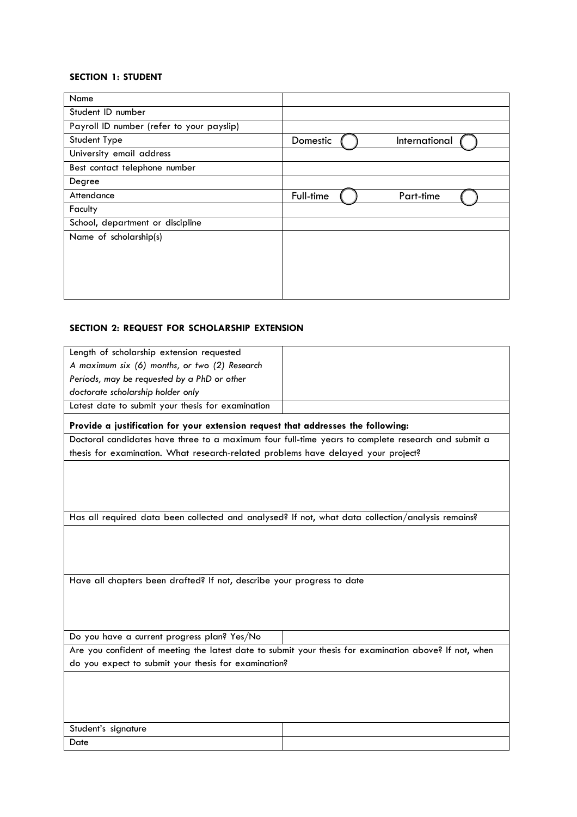#### **SECTION 1: STUDENT**

| Name                                      |                           |
|-------------------------------------------|---------------------------|
| Student ID number                         |                           |
| Payroll ID number (refer to your payslip) |                           |
| Student Type                              | International<br>Domestic |
| University email address                  |                           |
| Best contact telephone number             |                           |
| Degree                                    |                           |
| Attendance                                | Full-time<br>Part-time    |
| Faculty                                   |                           |
| School, department or discipline          |                           |
| Name of scholarship(s)                    |                           |
|                                           |                           |
|                                           |                           |
|                                           |                           |
|                                           |                           |

## **SECTION 2: REQUEST FOR SCHOLARSHIP EXTENSION**

| Length of scholarship extension requested                                                              |  |  |
|--------------------------------------------------------------------------------------------------------|--|--|
| A maximum six (6) months, or two (2) Research                                                          |  |  |
| Periods, may be requested by a PhD or other                                                            |  |  |
| doctorate scholarship holder only                                                                      |  |  |
| Latest date to submit your thesis for examination                                                      |  |  |
| Provide a justification for your extension request that addresses the following:                       |  |  |
| Doctoral candidates have three to a maximum four full-time years to complete research and submit a     |  |  |
| thesis for examination. What research-related problems have delayed your project?                      |  |  |
|                                                                                                        |  |  |
|                                                                                                        |  |  |
|                                                                                                        |  |  |
| Has all required data been collected and analysed? If not, what data collection/analysis remains?      |  |  |
|                                                                                                        |  |  |
|                                                                                                        |  |  |
|                                                                                                        |  |  |
|                                                                                                        |  |  |
| Have all chapters been drafted? If not, describe your progress to date                                 |  |  |
|                                                                                                        |  |  |
|                                                                                                        |  |  |
|                                                                                                        |  |  |
| Do you have a current progress plan? Yes/No                                                            |  |  |
| Are you confident of meeting the latest date to submit your thesis for examination above? If not, when |  |  |
| do you expect to submit your thesis for examination?                                                   |  |  |
|                                                                                                        |  |  |
|                                                                                                        |  |  |
|                                                                                                        |  |  |
| Student's signature                                                                                    |  |  |
| Date                                                                                                   |  |  |
|                                                                                                        |  |  |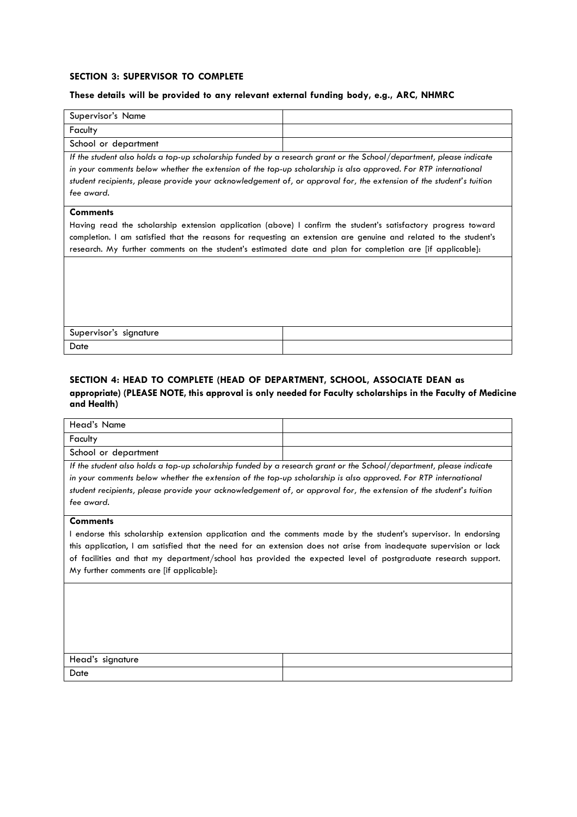#### **SECTION 3: SUPERVISOR TO COMPLETE**

### **These details will be provided to any relevant external funding body, e.g., ARC, NHMRC**

| Supervisor's Name                                                                                                                                                                                                                                                                                                                                                   |  |  |  |
|---------------------------------------------------------------------------------------------------------------------------------------------------------------------------------------------------------------------------------------------------------------------------------------------------------------------------------------------------------------------|--|--|--|
| Faculty                                                                                                                                                                                                                                                                                                                                                             |  |  |  |
| School or department                                                                                                                                                                                                                                                                                                                                                |  |  |  |
| If the student also holds a top-up scholarship funded by a research grant or the School/department, please indicate                                                                                                                                                                                                                                                 |  |  |  |
| in your comments below whether the extension of the top-up scholarship is also approved. For RTP international                                                                                                                                                                                                                                                      |  |  |  |
| student recipients, please provide your acknowledgement of, or approval for, the extension of the student's tuition                                                                                                                                                                                                                                                 |  |  |  |
| fee award.                                                                                                                                                                                                                                                                                                                                                          |  |  |  |
| <b>Comments</b><br>Having read the scholarship extension application (above) I confirm the student's satisfactory progress toward<br>completion. I am satisfied that the reasons for requesting an extension are genuine and related to the student's<br>research. My further comments on the student's estimated date and plan for completion are [if applicable]: |  |  |  |
| Supervisor's signature                                                                                                                                                                                                                                                                                                                                              |  |  |  |
| Date                                                                                                                                                                                                                                                                                                                                                                |  |  |  |

## **SECTION 4: HEAD TO COMPLETE (HEAD OF DEPARTMENT, SCHOOL, ASSOCIATE DEAN as appropriate) (PLEASE NOTE, this approval is only needed for Faculty scholarships in the Faculty of Medicine and Health)**

| Head's Name                                                                                                         |  |  |
|---------------------------------------------------------------------------------------------------------------------|--|--|
| Faculty                                                                                                             |  |  |
| School or department                                                                                                |  |  |
| If the student also holds a top-up scholarship funded by a research grant or the School/department, please indicate |  |  |
| in your comments below whether the extension of the top-up scholarship is also approved. For RTP international      |  |  |
| student recipients, please provide your acknowledgement of, or approval for, the extension of the student's tuition |  |  |
| fee award.                                                                                                          |  |  |
| <b>Comments</b>                                                                                                     |  |  |
| I endorse this scholarship extension application and the comments made by the student's supervisor. In endorsing    |  |  |
| this application, I am satisfied that the need for an extension does not arise from inadequate supervision or lack  |  |  |
| of facilities and that my department/school has provided the expected level of postgraduate research support.       |  |  |
| My further comments are [if applicable]:                                                                            |  |  |
|                                                                                                                     |  |  |
|                                                                                                                     |  |  |
|                                                                                                                     |  |  |
|                                                                                                                     |  |  |
|                                                                                                                     |  |  |
|                                                                                                                     |  |  |
| Head's signature                                                                                                    |  |  |
| Date                                                                                                                |  |  |
|                                                                                                                     |  |  |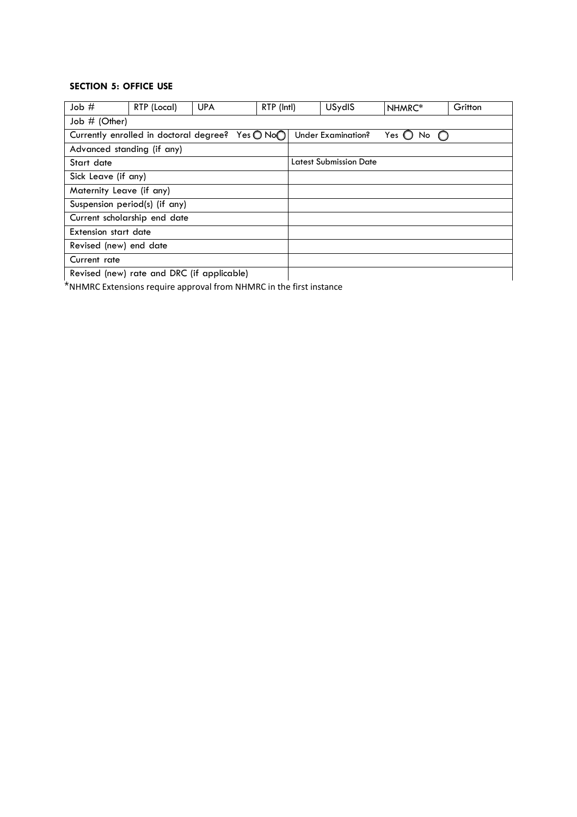## **SECTION 5: OFFICE USE**

| Job#                                                                   | RTP (Local) | <b>UPA</b> | RTP (Intl) |                    | USydIS                        | NHMRC* | Gritton |
|------------------------------------------------------------------------|-------------|------------|------------|--------------------|-------------------------------|--------|---------|
| Job # (Other)                                                          |             |            |            |                    |                               |        |         |
| Yes $\bigcirc$ No $\bigcirc$<br>Currently enrolled in doctoral degree? |             |            |            | Under Examination? | Yes $\bigcirc$<br>No          |        |         |
| Advanced standing (if any)                                             |             |            |            |                    |                               |        |         |
| Start date                                                             |             |            |            |                    | <b>Latest Submission Date</b> |        |         |
| Sick Leave (if any)                                                    |             |            |            |                    |                               |        |         |
| Maternity Leave (if any)                                               |             |            |            |                    |                               |        |         |
| Suspension period(s) (if any)                                          |             |            |            |                    |                               |        |         |
| Current scholarship end date                                           |             |            |            |                    |                               |        |         |
| Extension start date                                                   |             |            |            |                    |                               |        |         |
| Revised (new) end date                                                 |             |            |            |                    |                               |        |         |
| Current rate                                                           |             |            |            |                    |                               |        |         |
| Revised (new) rate and DRC (if applicable)                             |             |            |            |                    |                               |        |         |

\*NHMRC Extensions require approval from NHMRC in the first instance